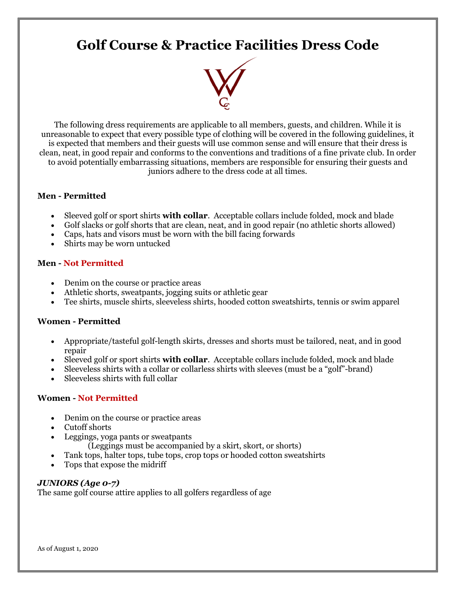# **Golf Course & Practice Facilities Dress Code**



The following dress requirements are applicable to all members, guests, and children. While it is unreasonable to expect that every possible type of clothing will be covered in the following guidelines, it is expected that members and their guests will use common sense and will ensure that their dress is clean, neat, in good repair and conforms to the conventions and traditions of a fine private club. In order to avoid potentially embarrassing situations, members are responsible for ensuring their guests and juniors adhere to the dress code at all times.

## **Men - Permitted**

- Sleeved golf or sport shirts **with collar**. Acceptable collars include folded, mock and blade
- Golf slacks or golf shorts that are clean, neat, and in good repair (no athletic shorts allowed)
- Caps, hats and visors must be worn with the bill facing forwards
- Shirts may be worn untucked

### **Men - Not Permitted**

- Denim on the course or practice areas
- Athletic shorts, sweatpants, jogging suits or athletic gear
- Tee shirts, muscle shirts, sleeveless shirts, hooded cotton sweatshirts, tennis or swim apparel

## **Women - Permitted**

- Appropriate/tasteful golf-length skirts, dresses and shorts must be tailored, neat, and in good repair
- Sleeved golf or sport shirts **with collar**. Acceptable collars include folded, mock and blade
- Sleeveless shirts with a collar or collarless shirts with sleeves (must be a "golf"-brand)
- Sleeveless shirts with full collar

## **Women - Not Permitted**

- Denim on the course or practice areas
- Cutoff shorts
- Leggings, yoga pants or sweatpants (Leggings must be accompanied by a skirt, skort, or shorts)
- Tank tops, halter tops, tube tops, crop tops or hooded cotton sweatshirts
- Tops that expose the midriff

#### *JUNIORS (Age 0-7)*

The same golf course attire applies to all golfers regardless of age